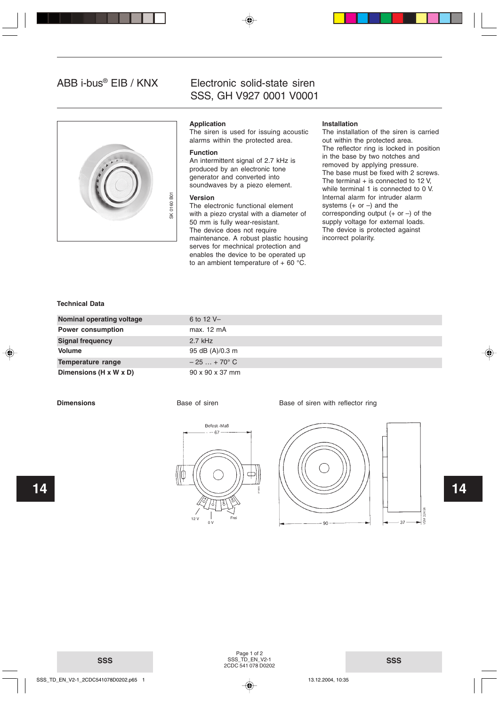# ABB i-bus® EIB / KNX



# Electronic solid-state siren SSS, GH V927 0001 V0001

# **Application**

The siren is used for issuing acoustic alarms within the protected area.

#### **Function**

An intermittent signal of 2.7 kHz is produced by an electronic tone generator and converted into soundwaves by a piezo element.

#### **Version**

# **Installation**

The installation of the siren is carried out within the protected area. The reflector ring is locked in position in the base by two notches and removed by applying pressure. The base must be fixed with 2 screws. The terminal  $+$  is connected to 12 V, while terminal 1 is connected to 0 V. Internal alarm for intruder alarm systems  $(+ or -)$  and the corresponding output  $(+ or -)$  of the supply voltage for external loads. The device is protected against incorrect polarity.

## **Technical Data**

| $\overline{5}$<br>0160<br>$\frac{1}{2}$<br>Technical Data | <b>Version</b><br>The electronic functional element<br>with a piezo crystal with a diameter of<br>50 mm is fully wear-resistant.<br>The device does not require<br>maintenance. A robust plastic housing<br>serves for mechnical protection and<br>enables the device to be operated up<br>to an ambient temperature of $+60$ °C. | Internal alarm for intruder alarm<br>systems $(+ or -)$ and the<br>corresponding output $(+ or -)$ of the<br>supply voltage for external loads.<br>The device is protected against<br>incorrect polarity. |
|-----------------------------------------------------------|-----------------------------------------------------------------------------------------------------------------------------------------------------------------------------------------------------------------------------------------------------------------------------------------------------------------------------------|-----------------------------------------------------------------------------------------------------------------------------------------------------------------------------------------------------------|
| <b>Nominal operating voltage</b>                          | 6 to 12 V-                                                                                                                                                                                                                                                                                                                        |                                                                                                                                                                                                           |
| <b>Power consumption</b>                                  | max. 12 mA                                                                                                                                                                                                                                                                                                                        |                                                                                                                                                                                                           |
| <b>Signal frequency</b>                                   | $2.7$ kHz                                                                                                                                                                                                                                                                                                                         |                                                                                                                                                                                                           |
| <b>Volume</b>                                             | 95 dB (A)/0.3 m                                                                                                                                                                                                                                                                                                                   |                                                                                                                                                                                                           |
| Temperature range                                         | $-25 + 70^{\circ}$ C                                                                                                                                                                                                                                                                                                              |                                                                                                                                                                                                           |
| Dimensions (H x W x D)                                    | 90 x 90 x 37 mm                                                                                                                                                                                                                                                                                                                   |                                                                                                                                                                                                           |

#### **Dimensions Base of siren Base of siren Base of siren with reflector ring**